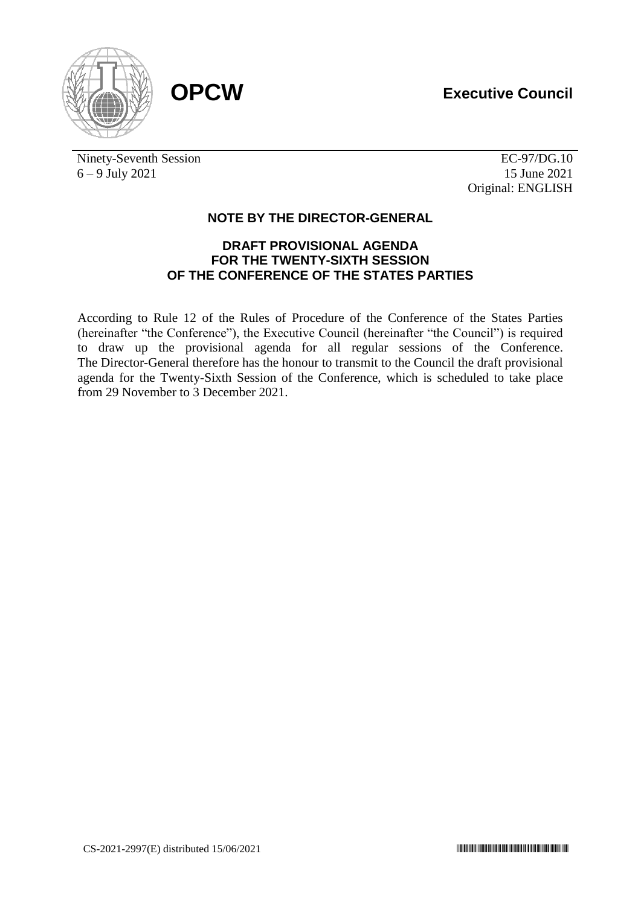





Ninety-Seventh Session 6 – 9 July 2021

EC-97/DG.10 15 June 2021 Original: ENGLISH

## **NOTE BY THE DIRECTOR-GENERAL**

## **DRAFT PROVISIONAL AGENDA FOR THE TWENTY-SIXTH SESSION OF THE CONFERENCE OF THE STATES PARTIES**

According to Rule 12 of the Rules of Procedure of the Conference of the States Parties (hereinafter "the Conference"), the Executive Council (hereinafter "the Council") is required to draw up the provisional agenda for all regular sessions of the Conference. The Director-General therefore has the honour to transmit to the Council the draft provisional agenda for the Twenty-Sixth Session of the Conference, which is scheduled to take place from 29 November to 3 December 2021.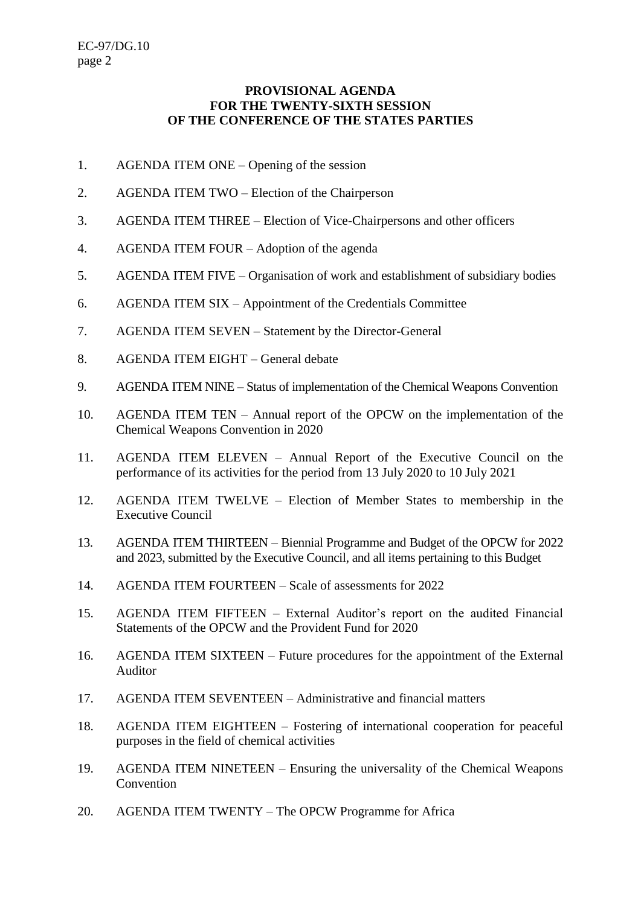## **PROVISIONAL AGENDA FOR THE TWENTY-SIXTH SESSION OF THE CONFERENCE OF THE STATES PARTIES**

- 1. AGENDA ITEM ONE Opening of the session
- 2. AGENDA ITEM TWO Election of the Chairperson
- 3. AGENDA ITEM THREE Election of Vice-Chairpersons and other officers
- 4. AGENDA ITEM FOUR Adoption of the agenda
- 5. AGENDA ITEM FIVE Organisation of work and establishment of subsidiary bodies
- 6. AGENDA ITEM SIX Appointment of the Credentials Committee
- 7. AGENDA ITEM SEVEN Statement by the Director-General
- 8. AGENDA ITEM EIGHT General debate
- 9. AGENDA ITEM NINE Status of implementation of the Chemical Weapons Convention
- 10. AGENDA ITEM TEN Annual report of the OPCW on the implementation of the Chemical Weapons Convention in 2020
- 11. AGENDA ITEM ELEVEN Annual Report of the Executive Council on the performance of its activities for the period from 13 July 2020 to 10 July 2021
- 12. AGENDA ITEM TWELVE Election of Member States to membership in the Executive Council
- 13. AGENDA ITEM THIRTEEN Biennial Programme and Budget of the OPCW for 2022 and 2023, submitted by the Executive Council, and all items pertaining to this Budget
- 14. AGENDA ITEM FOURTEEN Scale of assessments for 2022
- 15. AGENDA ITEM FIFTEEN External Auditor's report on the audited Financial Statements of the OPCW and the Provident Fund for 2020
- 16. AGENDA ITEM SIXTEEN Future procedures for the appointment of the External Auditor
- 17. AGENDA ITEM SEVENTEEN Administrative and financial matters
- 18. AGENDA ITEM EIGHTEEN Fostering of international cooperation for peaceful purposes in the field of chemical activities
- 19. AGENDA ITEM NINETEEN Ensuring the universality of the Chemical Weapons Convention
- 20. AGENDA ITEM TWENTY The OPCW Programme for Africa